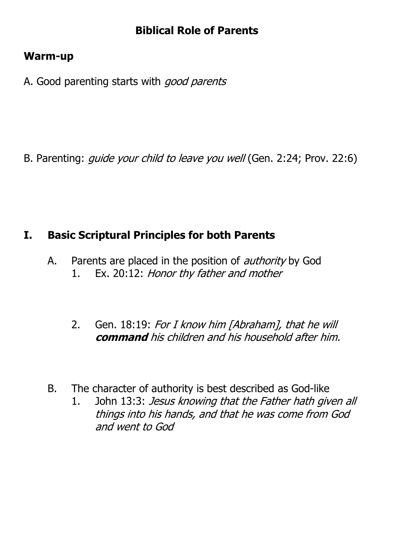## **Biblical Role of Parents**

#### **Warm-up**

A. Good parenting starts with good parents

B. Parenting: *guide your child to leave you well* (Gen. 2:24; Prov. 22:6)

## **I. Basic Scriptural Principles for both Parents**

- A. Parents are placed in the position of *authority* by God 1. Ex. 20:12: Honor thy father and mother
	- 2. Gen. 18:19: For I know him [Abraham], that he will **command** his children and his household after him.
- B. The character of authority is best described as God-like
	- 1. John 13:3: Jesus knowing that the Father hath given all things into his hands, and that he was come from God and went to God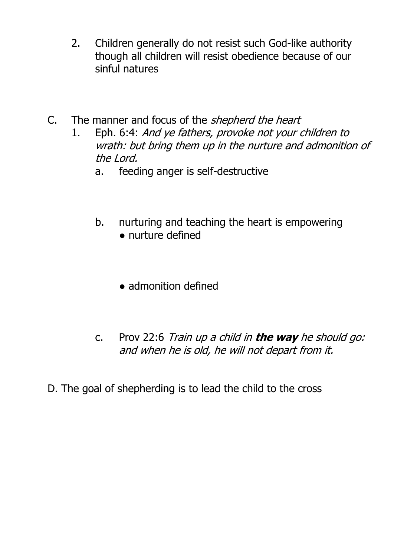- 2. Children generally do not resist such God-like authority though all children will resist obedience because of our sinful natures
- C. The manner and focus of the *shepherd the heart* 
	- 1. Eph. 6:4: And ye fathers, provoke not your children to wrath: but bring them up in the nurture and admonition of the Lord.
		- a. feeding anger is self-destructive
		- b. nurturing and teaching the heart is empowering ● nurture defined
			- admonition defined
		- c. Prov 22:6 Train up a child in **the way** he should go: and when he is old, he will not depart from it.

D. The goal of shepherding is to lead the child to the cross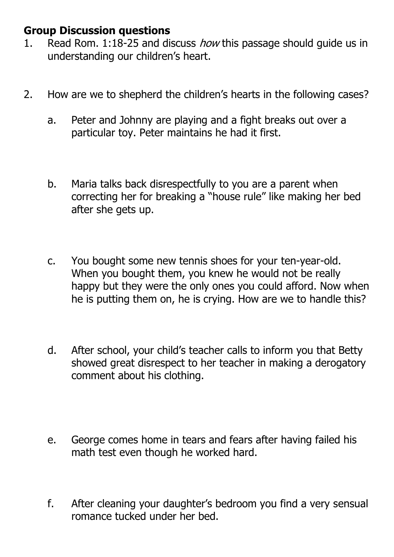## **Group Discussion questions**

- 1. Read Rom. 1:18-25 and discuss *how* this passage should guide us in understanding our children's heart.
- 2. How are we to shepherd the children's hearts in the following cases?
	- a. Peter and Johnny are playing and a fight breaks out over a particular toy. Peter maintains he had it first.
	- b. Maria talks back disrespectfully to you are a parent when correcting her for breaking a "house rule" like making her bed after she gets up.
	- c. You bought some new tennis shoes for your ten-year-old. When you bought them, you knew he would not be really happy but they were the only ones you could afford. Now when he is putting them on, he is crying. How are we to handle this?
	- d. After school, your child's teacher calls to inform you that Betty showed great disrespect to her teacher in making a derogatory comment about his clothing.
	- e. George comes home in tears and fears after having failed his math test even though he worked hard.
	- f. After cleaning your daughter's bedroom you find a very sensual romance tucked under her bed.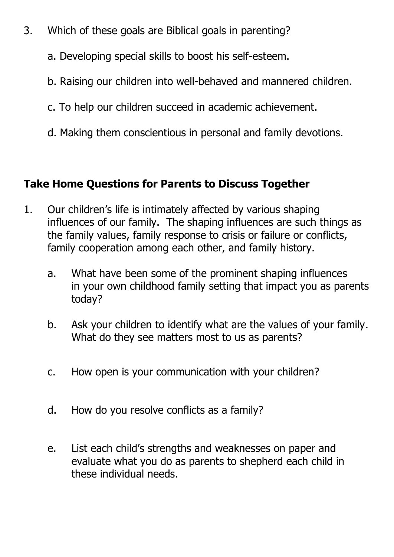- 3. Which of these goals are Biblical goals in parenting?
	- a. Developing special skills to boost his self-esteem.
	- b. Raising our children into well-behaved and mannered children.
	- c. To help our children succeed in academic achievement.
	- d. Making them conscientious in personal and family devotions.

# **Take Home Questions for Parents to Discuss Together**

- 1. Our children's life is intimately affected by various shaping influences of our family. The shaping influences are such things as the family values, family response to crisis or failure or conflicts, family cooperation among each other, and family history.
	- a. What have been some of the prominent shaping influences in your own childhood family setting that impact you as parents today?
	- b. Ask your children to identify what are the values of your family. What do they see matters most to us as parents?
	- c. How open is your communication with your children?
	- d. How do you resolve conflicts as a family?
	- e. List each child's strengths and weaknesses on paper and evaluate what you do as parents to shepherd each child in these individual needs.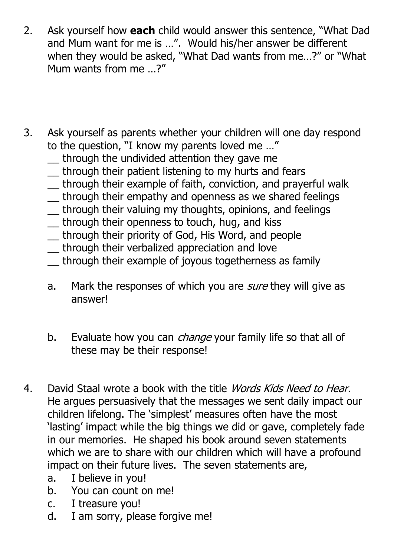- 2. Ask yourself how **each** child would answer this sentence, "What Dad and Mum want for me is …". Would his/her answer be different when they would be asked, "What Dad wants from me…?" or "What Mum wants from me …?"
- 3. Ask yourself as parents whether your children will one day respond to the question, "I know my parents loved me …"
	- \_\_ through the undivided attention they gave me
	- \_\_ through their patient listening to my hurts and fears
	- \_\_ through their example of faith, conviction, and prayerful walk
	- \_\_ through their empathy and openness as we shared feelings
	- \_\_ through their valuing my thoughts, opinions, and feelings
	- \_\_ through their openness to touch, hug, and kiss
	- \_\_ through their priority of God, His Word, and people
	- \_\_ through their verbalized appreciation and love
	- \_\_ through their example of joyous togetherness as family
	- a. Mark the responses of which you are *sure* they will give as answer!
	- b. Evaluate how you can *change* your family life so that all of these may be their response!
- 4. David Staal wrote a book with the title *Words Kids Need to Hear.* He argues persuasively that the messages we sent daily impact our children lifelong. The 'simplest' measures often have the most 'lasting' impact while the big things we did or gave, completely fade in our memories. He shaped his book around seven statements which we are to share with our children which will have a profound impact on their future lives. The seven statements are,
	- a. I believe in you!
	- b. You can count on me!
	- c. I treasure you!
	- d. I am sorry, please forgive me!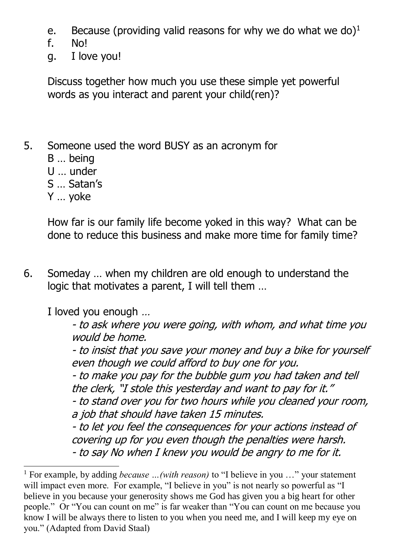- e. Because (providing valid reasons for why we do what we do) $<sup>1</sup>$ </sup>
- f. No!
- g. I love you!

Discuss together how much you use these simple yet powerful words as you interact and parent your child(ren)?

- 5. Someone used the word BUSY as an acronym for
	- B … being
	- U … under
	- S … Satan's
	- Y … yoke

1

How far is our family life become yoked in this way? What can be done to reduce this business and make more time for family time?

6. Someday … when my children are old enough to understand the logic that motivates a parent, I will tell them …

I loved you enough …

- to ask where you were going, with whom, and what time you would be home.

- to insist that you save your money and buy a bike for yourself even though we could afford to buy one for you.

- to make you pay for the bubble gum you had taken and tell the clerk, "I stole this yesterday and want to pay for it."

- to stand over you for two hours while you cleaned your room, a job that should have taken 15 minutes.

- to let you feel the consequences for your actions instead of covering up for you even though the penalties were harsh. - to say No when I knew you would be angry to me for it.

<sup>1</sup> For example, by adding *because …(with reason)* to "I believe in you …" your statement will impact even more. For example, "I believe in you" is not nearly so powerful as "I believe in you because your generosity shows me God has given you a big heart for other people." Or "You can count on me" is far weaker than "You can count on me because you know I will be always there to listen to you when you need me, and I will keep my eye on you." (Adapted from David Staal)